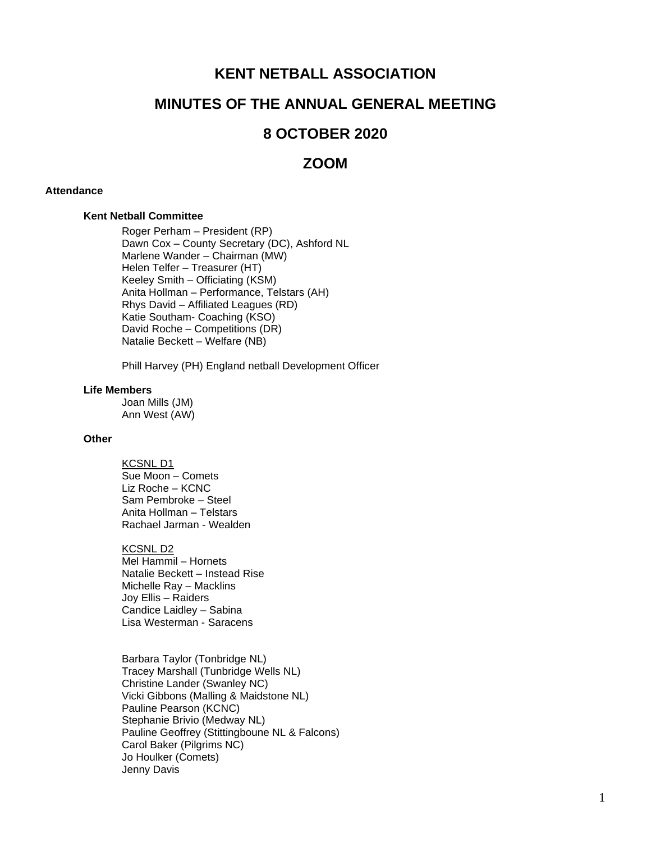# **KENT NETBALL ASSOCIATION**

# **MINUTES OF THE ANNUAL GENERAL MEETING**

## **8 OCTOBER 2020**

## **ZOOM**

#### **Attendance**

#### **Kent Netball Committee**

Roger Perham – President (RP) Dawn Cox – County Secretary (DC), Ashford NL Marlene Wander – Chairman (MW) Helen Telfer – Treasurer (HT) Keeley Smith – Officiating (KSM) Anita Hollman – Performance, Telstars (AH) Rhys David – Affiliated Leagues (RD) Katie Southam- Coaching (KSO) David Roche – Competitions (DR) Natalie Beckett – Welfare (NB)

Phill Harvey (PH) England netball Development Officer

#### **Life Members**

Joan Mills (JM) Ann West (AW)

## **Other**

KCSNL D1 Sue Moon – Comets Liz Roche – KCNC Sam Pembroke – Steel Anita Hollman – Telstars Rachael Jarman - Wealden

#### KCSNL D2

Mel Hammil – Hornets Natalie Beckett – Instead Rise Michelle Ray – Macklins Joy Ellis – Raiders Candice Laidley – Sabina Lisa Westerman - Saracens

Barbara Taylor (Tonbridge NL) Tracey Marshall (Tunbridge Wells NL) Christine Lander (Swanley NC) Vicki Gibbons (Malling & Maidstone NL) Pauline Pearson (KCNC) Stephanie Brivio (Medway NL) Pauline Geoffrey (Stittingboune NL & Falcons) Carol Baker (Pilgrims NC) Jo Houlker (Comets) Jenny Davis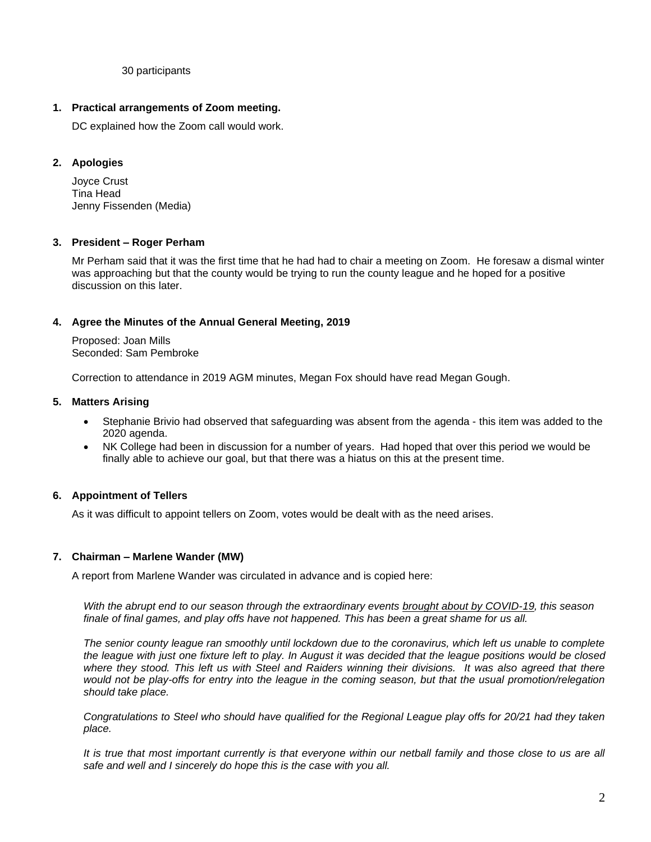#### 30 participants

## **1. Practical arrangements of Zoom meeting.**

DC explained how the Zoom call would work.

## **2. Apologies**

Joyce Crust Tina Head Jenny Fissenden (Media)

## **3. President – Roger Perham**

Mr Perham said that it was the first time that he had had to chair a meeting on Zoom. He foresaw a dismal winter was approaching but that the county would be trying to run the county league and he hoped for a positive discussion on this later.

## **4. Agree the Minutes of the Annual General Meeting, 2019**

Proposed: Joan Mills Seconded: Sam Pembroke

Correction to attendance in 2019 AGM minutes, Megan Fox should have read Megan Gough.

## **5. Matters Arising**

- Stephanie Brivio had observed that safeguarding was absent from the agenda this item was added to the 2020 agenda.
- NK College had been in discussion for a number of years. Had hoped that over this period we would be finally able to achieve our goal, but that there was a hiatus on this at the present time.

## **6. Appointment of Tellers**

As it was difficult to appoint tellers on Zoom, votes would be dealt with as the need arises.

## **7. Chairman – Marlene Wander (MW)**

A report from Marlene Wander was circulated in advance and is copied here:

*With the abrupt end to our season through the extraordinary events [brought about by COVID-19,](https://lindumhockey.co.uk/2020/03/16/coronavirus-hockey-suspended/) this season finale of final games, and play offs have not happened. This has been a great shame for us all.*

*The senior county league ran smoothly until lockdown due to the coronavirus, which left us unable to complete the league with just one fixture left to play. In August it was decided that the league positions would be closed where they stood. This left us with Steel and Raiders winning their divisions. It was also agreed that there would not be play-offs for entry into the league in the coming season, but that the usual promotion/relegation should take place.*

*Congratulations to Steel who should have qualified for the Regional League play offs for 20/21 had they taken place.*

It is true that most important currently is that everyone within our netball family and those close to us are all *safe and well and I sincerely do hope this is the case with you all.*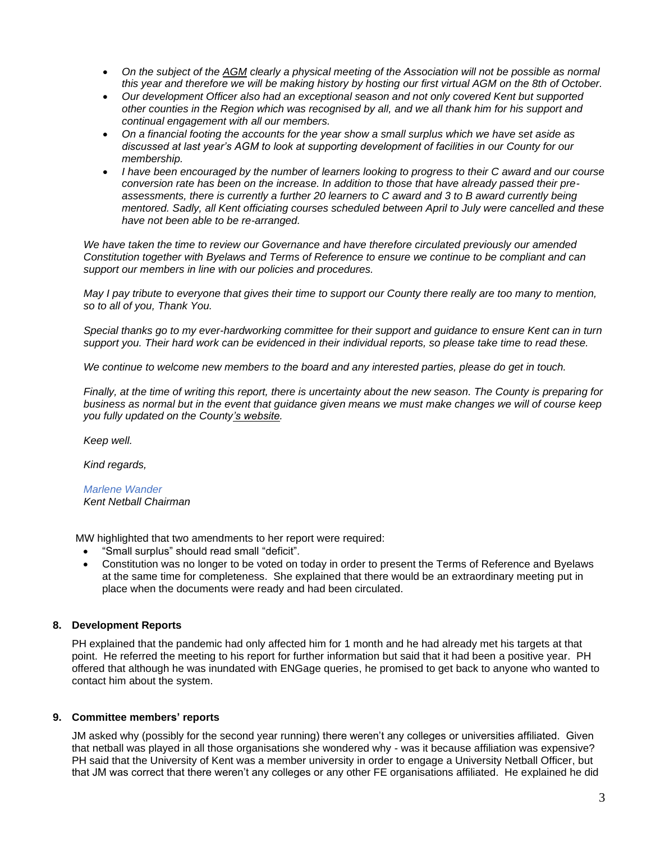- *On the subject of the [AGM](https://lindumhockey.co.uk/2020/04/08/annual-general-meeting-notice/) clearly a physical meeting of the Association will not be possible as normal this year and therefore we will be making history by hosting our first virtual AGM on the 8th of October.*
- *Our development Officer also had an exceptional season and not only covered Kent but supported other counties in the Region which was recognised by all, and we all thank him for his support and continual engagement with all our members.*
- *On a financial footing the accounts for the year show a small surplus which we have set aside as discussed at last year's AGM to look at supporting development of facilities in our County for our membership.*
- *I have been encouraged by the number of learners looking to progress to their C award and our course conversion rate has been on the increase. In addition to those that have already passed their preassessments, there is currently a further 20 learners to C award and 3 to B award currently being mentored. Sadly, all Kent officiating courses scheduled between April to July were cancelled and these have not been able to be re-arranged.*

*We have taken the time to review our Governance and have therefore circulated previously our amended Constitution together with Byelaws and Terms of Reference to ensure we continue to be compliant and can support our members in line with our policies and procedures.*

*May I pay tribute to everyone that gives their time to support our County there really are too many to mention, so to all of you, Thank You.*

*Special thanks go to my ever-hardworking committee for their support and guidance to ensure Kent can in turn support you. Their hard work can be evidenced in their individual reports, so please take time to read these.* 

*We continue to welcome new members to the board and any interested parties, please do get in touch.*

*Finally, at the time of writing this report, there is uncertainty about the new season. The County is preparing for business as normal but in the event that guidance given means we must make changes we will of course keep you fully updated on the Count[y's website.](https://lindumhockey.co.uk/)* 

*Keep well.*

*Kind regards,*

*Marlene Wander Kent Netball Chairman*

MW highlighted that two amendments to her report were required:

- "Small surplus" should read small "deficit".
- Constitution was no longer to be voted on today in order to present the Terms of Reference and Byelaws at the same time for completeness. She explained that there would be an extraordinary meeting put in place when the documents were ready and had been circulated.

## **8. Development Reports**

PH explained that the pandemic had only affected him for 1 month and he had already met his targets at that point. He referred the meeting to his report for further information but said that it had been a positive year. PH offered that although he was inundated with ENGage queries, he promised to get back to anyone who wanted to contact him about the system.

#### **9. Committee members' reports**

JM asked why (possibly for the second year running) there weren't any colleges or universities affiliated. Given that netball was played in all those organisations she wondered why - was it because affiliation was expensive? PH said that the University of Kent was a member university in order to engage a University Netball Officer, but that JM was correct that there weren't any colleges or any other FE organisations affiliated. He explained he did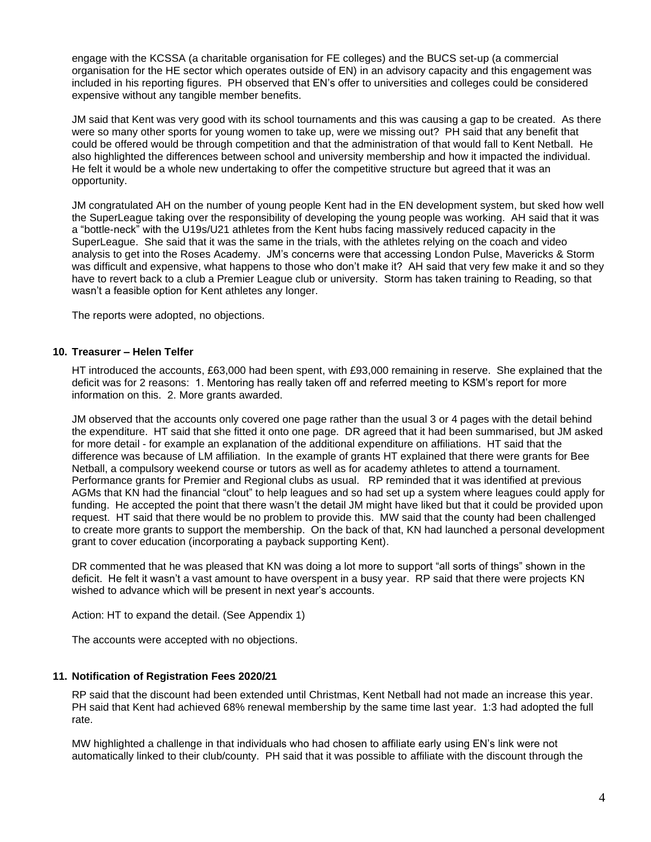engage with the KCSSA (a charitable organisation for FE colleges) and the BUCS set-up (a commercial organisation for the HE sector which operates outside of EN) in an advisory capacity and this engagement was included in his reporting figures. PH observed that EN's offer to universities and colleges could be considered expensive without any tangible member benefits.

JM said that Kent was very good with its school tournaments and this was causing a gap to be created. As there were so many other sports for young women to take up, were we missing out? PH said that any benefit that could be offered would be through competition and that the administration of that would fall to Kent Netball. He also highlighted the differences between school and university membership and how it impacted the individual. He felt it would be a whole new undertaking to offer the competitive structure but agreed that it was an opportunity.

JM congratulated AH on the number of young people Kent had in the EN development system, but sked how well the SuperLeague taking over the responsibility of developing the young people was working. AH said that it was a "bottle-neck" with the U19s/U21 athletes from the Kent hubs facing massively reduced capacity in the SuperLeague. She said that it was the same in the trials, with the athletes relying on the coach and video analysis to get into the Roses Academy. JM's concerns were that accessing London Pulse, Mavericks & Storm was difficult and expensive, what happens to those who don't make it? AH said that very few make it and so they have to revert back to a club a Premier League club or university. Storm has taken training to Reading, so that wasn't a feasible option for Kent athletes any longer.

The reports were adopted, no objections.

## **10. Treasurer – Helen Telfer**

HT introduced the accounts, £63,000 had been spent, with £93,000 remaining in reserve. She explained that the deficit was for 2 reasons: 1. Mentoring has really taken off and referred meeting to KSM's report for more information on this. 2. More grants awarded.

JM observed that the accounts only covered one page rather than the usual 3 or 4 pages with the detail behind the expenditure. HT said that she fitted it onto one page. DR agreed that it had been summarised, but JM asked for more detail - for example an explanation of the additional expenditure on affiliations. HT said that the difference was because of LM affiliation. In the example of grants HT explained that there were grants for Bee Netball, a compulsory weekend course or tutors as well as for academy athletes to attend a tournament. Performance grants for Premier and Regional clubs as usual. RP reminded that it was identified at previous AGMs that KN had the financial "clout" to help leagues and so had set up a system where leagues could apply for funding. He accepted the point that there wasn't the detail JM might have liked but that it could be provided upon request. HT said that there would be no problem to provide this. MW said that the county had been challenged to create more grants to support the membership. On the back of that, KN had launched a personal development grant to cover education (incorporating a payback supporting Kent).

DR commented that he was pleased that KN was doing a lot more to support "all sorts of things" shown in the deficit. He felt it wasn't a vast amount to have overspent in a busy year. RP said that there were projects KN wished to advance which will be present in next year's accounts.

Action: HT to expand the detail. (See Appendix 1)

The accounts were accepted with no objections.

#### **11. Notification of Registration Fees 2020/21**

RP said that the discount had been extended until Christmas, Kent Netball had not made an increase this year. PH said that Kent had achieved 68% renewal membership by the same time last year. 1:3 had adopted the full rate.

MW highlighted a challenge in that individuals who had chosen to affiliate early using EN's link were not automatically linked to their club/county. PH said that it was possible to affiliate with the discount through the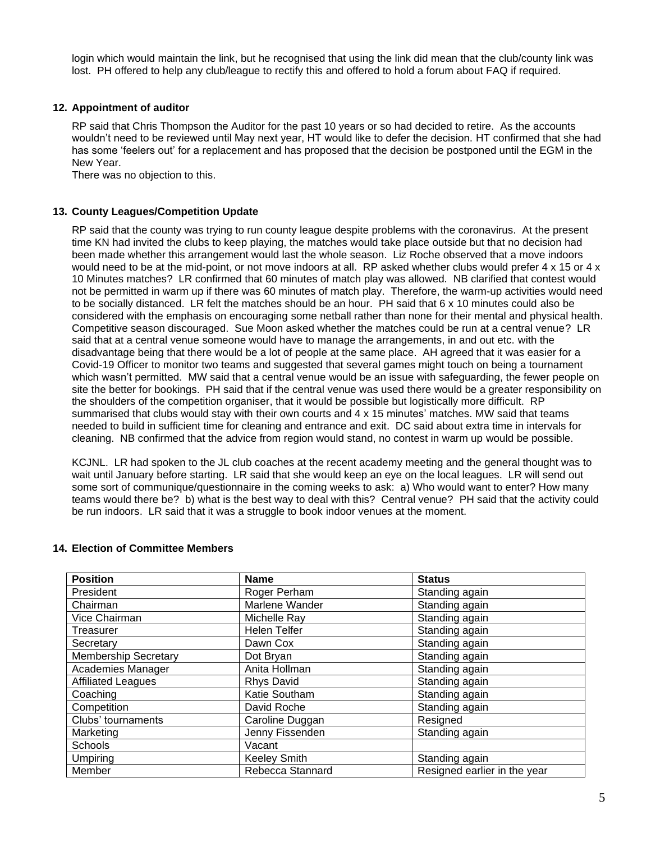login which would maintain the link, but he recognised that using the link did mean that the club/county link was lost. PH offered to help any club/league to rectify this and offered to hold a forum about FAQ if required.

## **12. Appointment of auditor**

RP said that Chris Thompson the Auditor for the past 10 years or so had decided to retire. As the accounts wouldn't need to be reviewed until May next year, HT would like to defer the decision. HT confirmed that she had has some 'feelers out' for a replacement and has proposed that the decision be postponed until the EGM in the New Year.

There was no objection to this.

## **13. County Leagues/Competition Update**

RP said that the county was trying to run county league despite problems with the coronavirus. At the present time KN had invited the clubs to keep playing, the matches would take place outside but that no decision had been made whether this arrangement would last the whole season. Liz Roche observed that a move indoors would need to be at the mid-point, or not move indoors at all. RP asked whether clubs would prefer 4 x 15 or 4 x 10 Minutes matches? LR confirmed that 60 minutes of match play was allowed. NB clarified that contest would not be permitted in warm up if there was 60 minutes of match play. Therefore, the warm-up activities would need to be socially distanced. LR felt the matches should be an hour. PH said that 6 x 10 minutes could also be considered with the emphasis on encouraging some netball rather than none for their mental and physical health. Competitive season discouraged. Sue Moon asked whether the matches could be run at a central venue? LR said that at a central venue someone would have to manage the arrangements, in and out etc. with the disadvantage being that there would be a lot of people at the same place. AH agreed that it was easier for a Covid-19 Officer to monitor two teams and suggested that several games might touch on being a tournament which wasn't permitted. MW said that a central venue would be an issue with safeguarding, the fewer people on site the better for bookings. PH said that if the central venue was used there would be a greater responsibility on the shoulders of the competition organiser, that it would be possible but logistically more difficult. RP summarised that clubs would stay with their own courts and 4 x 15 minutes' matches. MW said that teams needed to build in sufficient time for cleaning and entrance and exit. DC said about extra time in intervals for cleaning. NB confirmed that the advice from region would stand, no contest in warm up would be possible.

KCJNL. LR had spoken to the JL club coaches at the recent academy meeting and the general thought was to wait until January before starting. LR said that she would keep an eye on the local leagues. LR will send out some sort of communique/questionnaire in the coming weeks to ask: a) Who would want to enter? How many teams would there be? b) what is the best way to deal with this? Central venue? PH said that the activity could be run indoors. LR said that it was a struggle to book indoor venues at the moment.

| <b>Position</b>             | <b>Name</b>         | <b>Status</b>                |  |
|-----------------------------|---------------------|------------------------------|--|
| President                   | Roger Perham        | Standing again               |  |
| Chairman                    | Marlene Wander      | Standing again               |  |
| Vice Chairman               | Michelle Ray        | Standing again               |  |
| Treasurer                   | <b>Helen Telfer</b> | Standing again               |  |
| Secretary                   | Dawn Cox            | Standing again               |  |
| <b>Membership Secretary</b> | Dot Bryan           | Standing again               |  |
| Academies Manager           | Anita Hollman       | Standing again               |  |
| <b>Affiliated Leagues</b>   | Rhys David          | Standing again               |  |
| Coaching                    | Katie Southam       | Standing again               |  |
| Competition                 | David Roche         | Standing again               |  |
| Clubs' tournaments          | Caroline Duggan     | Resigned                     |  |
| Marketing                   | Jenny Fissenden     | Standing again               |  |
| Schools                     | Vacant              |                              |  |
| <b>Umpiring</b>             | <b>Keeley Smith</b> | Standing again               |  |
| Member                      | Rebecca Stannard    | Resigned earlier in the year |  |

#### **14. Election of Committee Members**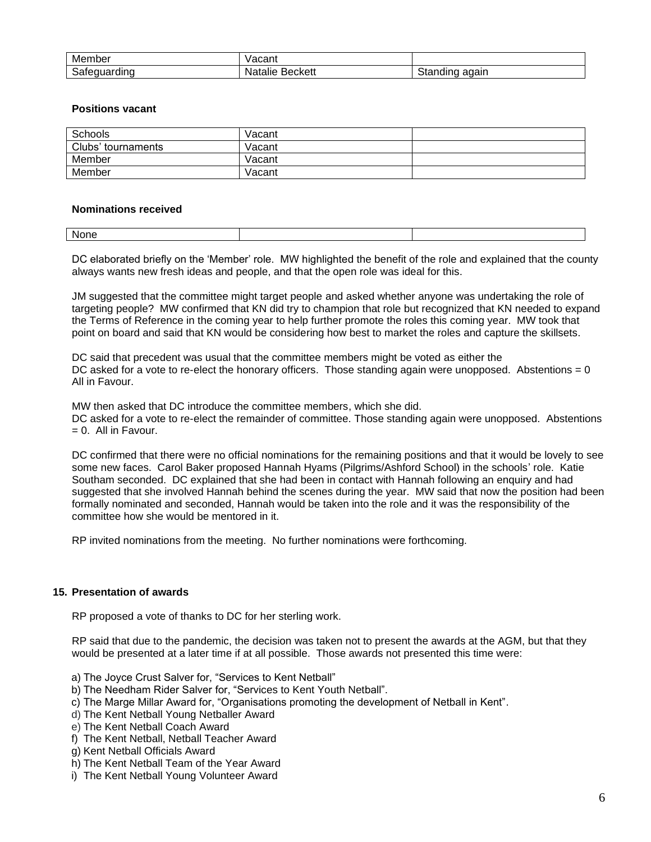| Member       | acant/             |                   |
|--------------|--------------------|-------------------|
| Safeguarding | Beckett<br>Natalie | again<br>Standing |

#### **Positions vacant**

| Schools            | Vacant |  |
|--------------------|--------|--|
| Clubs' tournaments | Vacant |  |
| Member             | Vacant |  |
| Member             | Vacant |  |

#### **Nominations received**

| . .<br>None |  |
|-------------|--|
|             |  |

DC elaborated briefly on the 'Member' role. MW highlighted the benefit of the role and explained that the county always wants new fresh ideas and people, and that the open role was ideal for this.

JM suggested that the committee might target people and asked whether anyone was undertaking the role of targeting people? MW confirmed that KN did try to champion that role but recognized that KN needed to expand the Terms of Reference in the coming year to help further promote the roles this coming year. MW took that point on board and said that KN would be considering how best to market the roles and capture the skillsets.

DC said that precedent was usual that the committee members might be voted as either the DC asked for a vote to re-elect the honorary officers. Those standing again were unopposed. Abstentions  $= 0$ All in Favour.

MW then asked that DC introduce the committee members, which she did.

DC asked for a vote to re-elect the remainder of committee. Those standing again were unopposed. Abstentions  $= 0$ . All in Favour.

DC confirmed that there were no official nominations for the remaining positions and that it would be lovely to see some new faces. Carol Baker proposed Hannah Hyams (Pilgrims/Ashford School) in the schools' role. Katie Southam seconded. DC explained that she had been in contact with Hannah following an enquiry and had suggested that she involved Hannah behind the scenes during the year. MW said that now the position had been formally nominated and seconded, Hannah would be taken into the role and it was the responsibility of the committee how she would be mentored in it.

RP invited nominations from the meeting. No further nominations were forthcoming.

#### **15. Presentation of awards**

RP proposed a vote of thanks to DC for her sterling work.

RP said that due to the pandemic, the decision was taken not to present the awards at the AGM, but that they would be presented at a later time if at all possible. Those awards not presented this time were:

- a) The Joyce Crust Salver for, "Services to Kent Netball"
- b) The Needham Rider Salver for, "Services to Kent Youth Netball".
- c) The Marge Millar Award for, "Organisations promoting the development of Netball in Kent".
- d) The Kent Netball Young Netballer Award
- e) The Kent Netball Coach Award
- f) The Kent Netball, Netball Teacher Award
- g) Kent Netball Officials Award
- h) The Kent Netball Team of the Year Award
- i) The Kent Netball Young Volunteer Award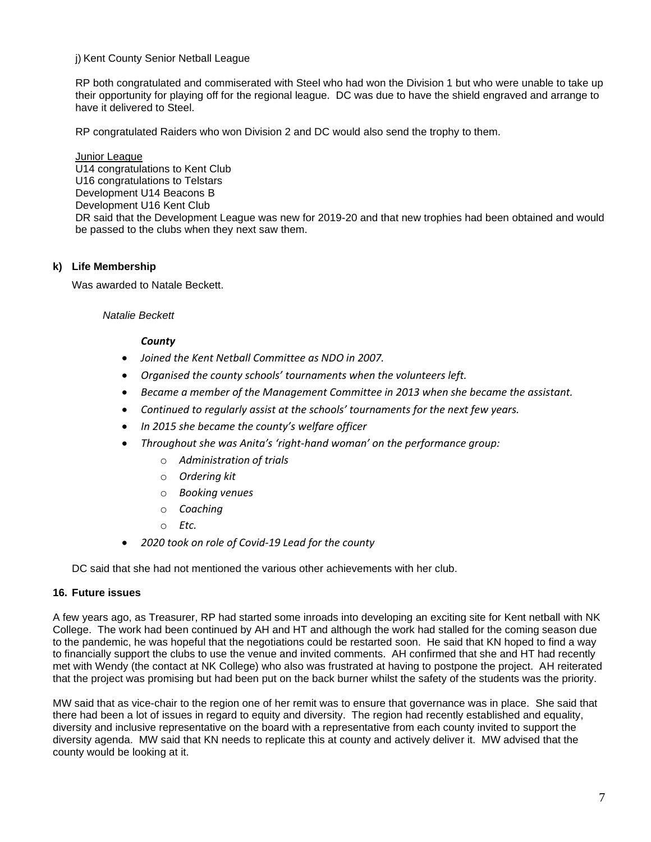## j) Kent County Senior Netball League

RP both congratulated and commiserated with Steel who had won the Division 1 but who were unable to take up their opportunity for playing off for the regional league. DC was due to have the shield engraved and arrange to have it delivered to Steel.

RP congratulated Raiders who won Division 2 and DC would also send the trophy to them.

Junior League U14 congratulations to Kent Club U16 congratulations to Telstars Development U14 Beacons B Development U16 Kent Club DR said that the Development League was new for 2019-20 and that new trophies had been obtained and would be passed to the clubs when they next saw them.

## **k) Life Membership**

Was awarded to Natale Beckett.

## *Natalie Beckett*

## *County*

- *Joined the Kent Netball Committee as NDO in 2007.*
- *Organised the county schools' tournaments when the volunteers left.*
- *Became a member of the Management Committee in 2013 when she became the assistant.*
- *Continued to regularly assist at the schools' tournaments for the next few years.*
- *In 2015 she became the county's welfare officer*
- *Throughout she was Anita's 'right-hand woman' on the performance group:*
	- o *Administration of trials*
	- o *Ordering kit*
	- o *Booking venues*
	- o *Coaching*
	- o *Etc.*
- *2020 took on role of Covid-19 Lead for the county*

DC said that she had not mentioned the various other achievements with her club.

## **16. Future issues**

A few years ago, as Treasurer, RP had started some inroads into developing an exciting site for Kent netball with NK College. The work had been continued by AH and HT and although the work had stalled for the coming season due to the pandemic, he was hopeful that the negotiations could be restarted soon. He said that KN hoped to find a way to financially support the clubs to use the venue and invited comments. AH confirmed that she and HT had recently met with Wendy (the contact at NK College) who also was frustrated at having to postpone the project. AH reiterated that the project was promising but had been put on the back burner whilst the safety of the students was the priority.

MW said that as vice-chair to the region one of her remit was to ensure that governance was in place. She said that there had been a lot of issues in regard to equity and diversity. The region had recently established and equality, diversity and inclusive representative on the board with a representative from each county invited to support the diversity agenda. MW said that KN needs to replicate this at county and actively deliver it. MW advised that the county would be looking at it.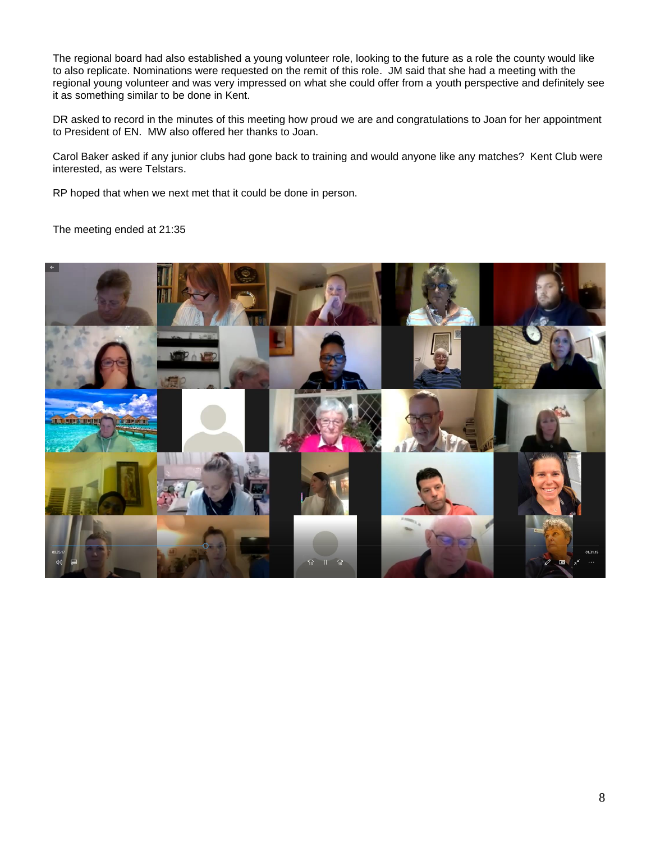The regional board had also established a young volunteer role, looking to the future as a role the county would like to also replicate. Nominations were requested on the remit of this role. JM said that she had a meeting with the regional young volunteer and was very impressed on what she could offer from a youth perspective and definitely see it as something similar to be done in Kent.

DR asked to record in the minutes of this meeting how proud we are and congratulations to Joan for her appointment to President of EN. MW also offered her thanks to Joan.

Carol Baker asked if any junior clubs had gone back to training and would anyone like any matches? Kent Club were interested, as were Telstars.

RP hoped that when we next met that it could be done in person.

The meeting ended at 21:35